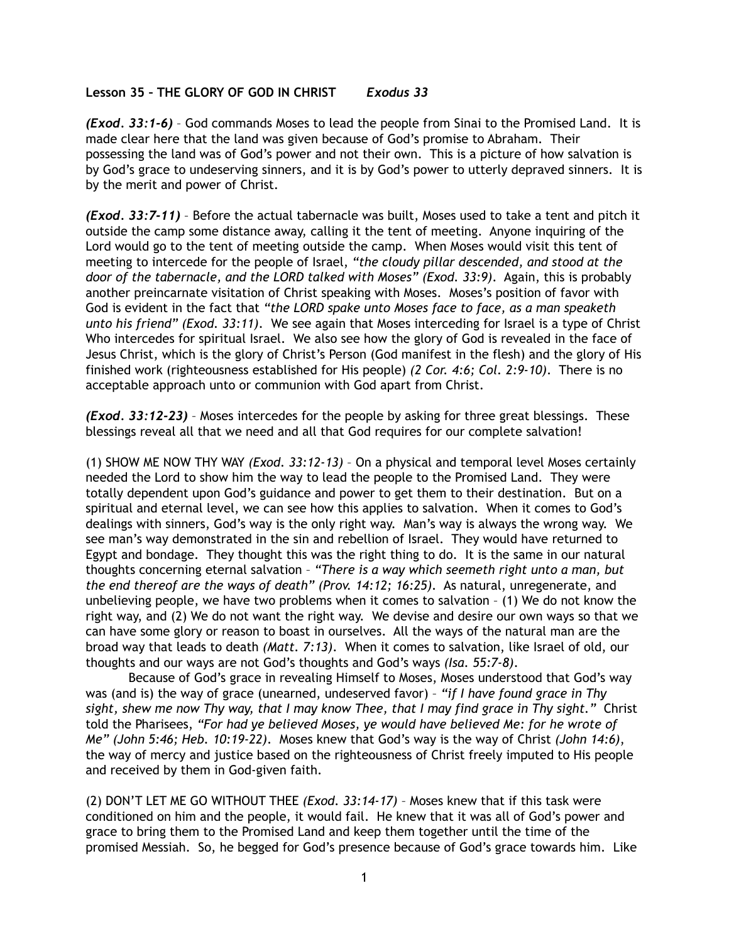## **Lesson 35 – THE GLORY OF GOD IN CHRIST** *Exodus 33*

*(Exod. 33:1-6)* – God commands Moses to lead the people from Sinai to the Promised Land. It is made clear here that the land was given because of God's promise to Abraham. Their possessing the land was of God's power and not their own. This is a picture of how salvation is by God's grace to undeserving sinners, and it is by God's power to utterly depraved sinners. It is by the merit and power of Christ.

*(Exod. 33:7-11)* – Before the actual tabernacle was built, Moses used to take a tent and pitch it outside the camp some distance away, calling it the tent of meeting. Anyone inquiring of the Lord would go to the tent of meeting outside the camp. When Moses would visit this tent of meeting to intercede for the people of Israel, *"the cloudy pillar descended, and stood at the door of the tabernacle, and the LORD talked with Moses" (Exod. 33:9)*. Again, this is probably another preincarnate visitation of Christ speaking with Moses. Moses's position of favor with God is evident in the fact that *"the LORD spake unto Moses face to face, as a man speaketh unto his friend" (Exod. 33:11)*. We see again that Moses interceding for Israel is a type of Christ Who intercedes for spiritual Israel. We also see how the glory of God is revealed in the face of Jesus Christ, which is the glory of Christ's Person (God manifest in the flesh) and the glory of His finished work (righteousness established for His people) *(2 Cor. 4:6; Col. 2:9-10)*. There is no acceptable approach unto or communion with God apart from Christ.

*(Exod. 33:12-23)* – Moses intercedes for the people by asking for three great blessings. These blessings reveal all that we need and all that God requires for our complete salvation!

(1) SHOW ME NOW THY WAY *(Exod. 33:12-13)* – On a physical and temporal level Moses certainly needed the Lord to show him the way to lead the people to the Promised Land. They were totally dependent upon God's guidance and power to get them to their destination. But on a spiritual and eternal level, we can see how this applies to salvation. When it comes to God's dealings with sinners, God's way is the only right way. Man's way is always the wrong way. We see man's way demonstrated in the sin and rebellion of Israel. They would have returned to Egypt and bondage. They thought this was the right thing to do. It is the same in our natural thoughts concerning eternal salvation – *"There is a way which seemeth right unto a man, but the end thereof are the ways of death" (Prov. 14:12; 16:25)*. As natural, unregenerate, and unbelieving people, we have two problems when it comes to salvation – (1) We do not know the right way, and (2) We do not want the right way. We devise and desire our own ways so that we can have some glory or reason to boast in ourselves. All the ways of the natural man are the broad way that leads to death *(Matt. 7:13)*. When it comes to salvation, like Israel of old, our thoughts and our ways are not God's thoughts and God's ways *(Isa. 55:7-8)*.

 Because of God's grace in revealing Himself to Moses, Moses understood that God's way was (and is) the way of grace (unearned, undeserved favor) – *"if I have found grace in Thy sight, shew me now Thy way, that I may know Thee, that I may find grace in Thy sight."* Christ told the Pharisees, *"For had ye believed Moses, ye would have believed Me: for he wrote of Me" (John 5:46; Heb. 10:19-22)*. Moses knew that God's way is the way of Christ *(John 14:6)*, the way of mercy and justice based on the righteousness of Christ freely imputed to His people and received by them in God-given faith.

(2) DON'T LET ME GO WITHOUT THEE *(Exod. 33:14-17)* – Moses knew that if this task were conditioned on him and the people, it would fail. He knew that it was all of God's power and grace to bring them to the Promised Land and keep them together until the time of the promised Messiah. So, he begged for God's presence because of God's grace towards him. Like